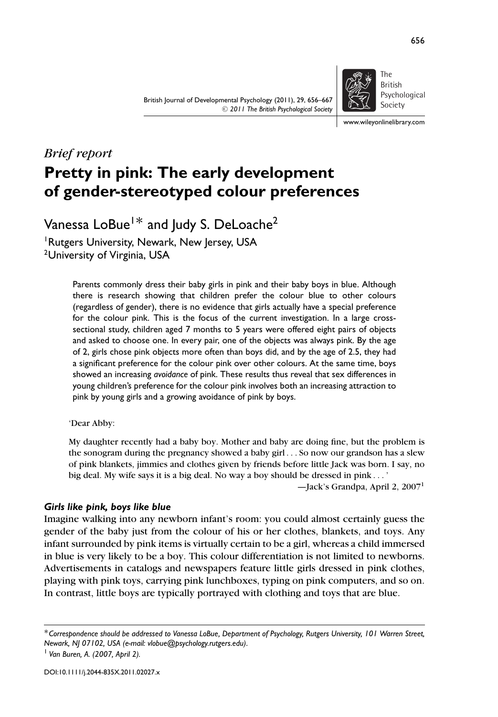

British Psychological Society Society

www.wileyonlinelibrary.com

# *Brief report* **Pretty in pink: The early development of gender-stereotyped colour preferences**

# Vanessa LoBue<sup>1\*</sup> and Judy S. DeLoache<sup>2</sup>

<sup>1</sup>Rutgers University, Newark, New Jersey, USA <sup>2</sup>University of Virginia, USA

> Parents commonly dress their baby girls in pink and their baby boys in blue. Although there is research showing that children prefer the colour blue to other colours (regardless of gender), there is no evidence that girls actually have a special preference for the colour pink. This is the focus of the current investigation. In a large crosssectional study, children aged 7 months to 5 years were offered eight pairs of objects and asked to choose one. In every pair, one of the objects was always pink. By the age of 2, girls chose pink objects more often than boys did, and by the age of 2.5, they had a significant preference for the colour pink over other colours. At the same time, boys showed an increasing *avoidance* of pink. These results thus reveal that sex differences in young children's preference for the colour pink involves both an increasing attraction to pink by young girls and a growing avoidance of pink by boys.

'Dear Abby:

My daughter recently had a baby boy. Mother and baby are doing fine, but the problem is the sonogram during the pregnancy showed a baby girl . . . So now our grandson has a slew of pink blankets, jimmies and clothes given by friends before little Jack was born. I say, no big deal. My wife says it is a big deal. No way a boy should be dressed in pink ...'

—Jack's Grandpa, April 2, 20071

### *Girls like pink, boys like blue*

Imagine walking into any newborn infant's room: you could almost certainly guess the gender of the baby just from the colour of his or her clothes, blankets, and toys. Any infant surrounded by pink items is virtually certain to be a girl, whereas a child immersed in blue is very likely to be a boy. This colour differentiation is not limited to newborns. Advertisements in catalogs and newspapers feature little girls dressed in pink clothes, playing with pink toys, carrying pink lunchboxes, typing on pink computers, and so on. In contrast, little boys are typically portrayed with clothing and toys that are blue.

<sup>∗</sup>*Correspondence should be addressed to Vanessa LoBue, Department of Psychology, Rutgers University, 101 Warren Street, Newark, NJ 07102, USA (e-mail: vlobue@psychology.rutgers.edu)*.

<sup>1</sup> *Van Buren, A. (2007, April 2).*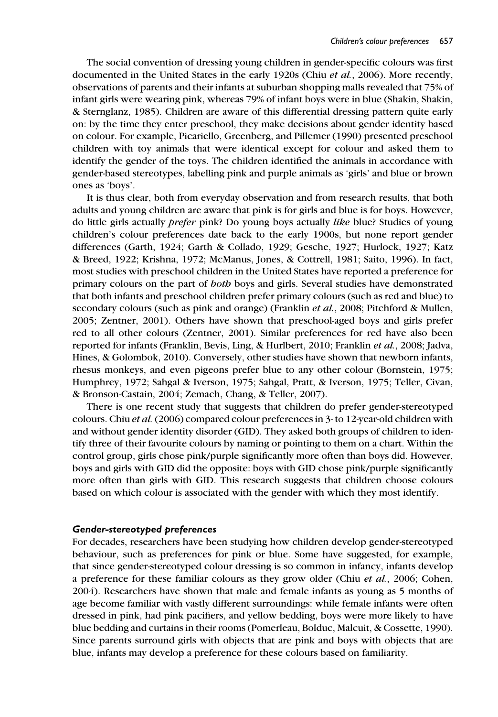The social convention of dressing young children in gender-specific colours was first documented in the United States in the early 1920s (Chiu *et al.*, 2006). More recently, observations of parents and their infants at suburban shopping malls revealed that 75% of infant girls were wearing pink, whereas 79% of infant boys were in blue (Shakin, Shakin, & Sternglanz, 1985). Children are aware of this differential dressing pattern quite early on: by the time they enter preschool, they make decisions about gender identity based on colour. For example, Picariello, Greenberg, and Pillemer (1990) presented preschool children with toy animals that were identical except for colour and asked them to identify the gender of the toys. The children identified the animals in accordance with gender-based stereotypes, labelling pink and purple animals as 'girls' and blue or brown ones as 'boys'.

It is thus clear, both from everyday observation and from research results, that both adults and young children are aware that pink is for girls and blue is for boys. However, do little girls actually *prefer* pink? Do young boys actually *like* blue? Studies of young children's colour preferences date back to the early 1900s, but none report gender differences (Garth, 1924; Garth & Collado, 1929; Gesche, 1927; Hurlock, 1927; Katz & Breed, 1922; Krishna, 1972; McManus, Jones, & Cottrell, 1981; Saito, 1996). In fact, most studies with preschool children in the United States have reported a preference for primary colours on the part of *both* boys and girls. Several studies have demonstrated that both infants and preschool children prefer primary colours (such as red and blue) to secondary colours (such as pink and orange) (Franklin *et al.*, 2008; Pitchford & Mullen, 2005; Zentner, 2001). Others have shown that preschool-aged boys and girls prefer red to all other colours (Zentner, 2001). Similar preferences for red have also been reported for infants (Franklin, Bevis, Ling, & Hurlbert, 2010; Franklin *et al.*, 2008; Jadva, Hines, & Golombok, 2010). Conversely, other studies have shown that newborn infants, rhesus monkeys, and even pigeons prefer blue to any other colour (Bornstein, 1975; Humphrey, 1972; Sahgal & Iverson, 1975; Sahgal, Pratt, & Iverson, 1975; Teller, Civan, & Bronson-Castain, 2004; Zemach, Chang, & Teller, 2007).

There is one recent study that suggests that children do prefer gender-stereotyped colours. Chiu *et al.* (2006) compared colour preferences in 3- to 12-year-old children with and without gender identity disorder (GID). They asked both groups of children to identify three of their favourite colours by naming or pointing to them on a chart. Within the control group, girls chose pink/purple significantly more often than boys did. However, boys and girls with GID did the opposite: boys with GID chose pink/purple significantly more often than girls with GID. This research suggests that children choose colours based on which colour is associated with the gender with which they most identify.

#### *Gender-stereotyped preferences*

For decades, researchers have been studying how children develop gender-stereotyped behaviour, such as preferences for pink or blue. Some have suggested, for example, that since gender-stereotyped colour dressing is so common in infancy, infants develop a preference for these familiar colours as they grow older (Chiu *et al.*, 2006; Cohen, 2004). Researchers have shown that male and female infants as young as 5 months of age become familiar with vastly different surroundings: while female infants were often dressed in pink, had pink pacifiers, and yellow bedding, boys were more likely to have blue bedding and curtains in their rooms (Pomerleau, Bolduc, Malcuit, & Cossette, 1990). Since parents surround girls with objects that are pink and boys with objects that are blue, infants may develop a preference for these colours based on familiarity.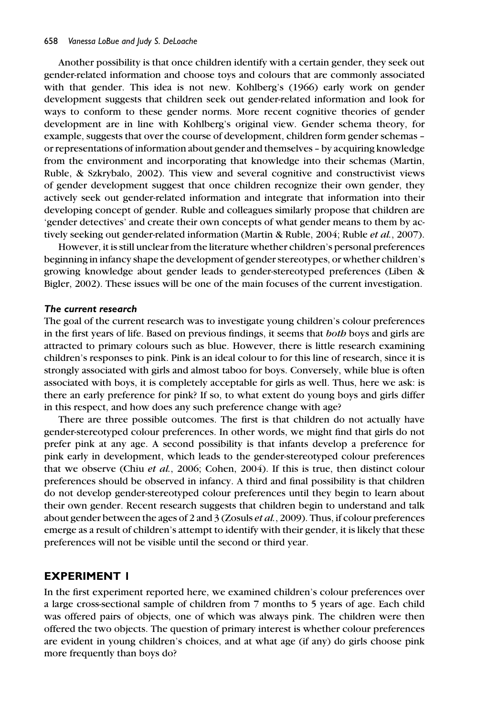Another possibility is that once children identify with a certain gender, they seek out gender-related information and choose toys and colours that are commonly associated with that gender. This idea is not new. Kohlberg's (1966) early work on gender development suggests that children seek out gender-related information and look for ways to conform to these gender norms. More recent cognitive theories of gender development are in line with Kohlberg's original view. Gender schema theory, for example, suggests that over the course of development, children form gender schemas – or representations of information about gender and themselves – by acquiring knowledge from the environment and incorporating that knowledge into their schemas (Martin, Ruble, & Szkrybalo, 2002). This view and several cognitive and constructivist views of gender development suggest that once children recognize their own gender, they actively seek out gender-related information and integrate that information into their developing concept of gender. Ruble and colleagues similarly propose that children are 'gender detectives' and create their own concepts of what gender means to them by actively seeking out gender-related information (Martin & Ruble, 2004; Ruble *et al.*, 2007).

However, it is still unclear from the literature whether children's personal preferences beginning in infancy shape the development of gender stereotypes, or whether children's growing knowledge about gender leads to gender-stereotyped preferences (Liben & Bigler, 2002). These issues will be one of the main focuses of the current investigation.

#### *The current research*

The goal of the current research was to investigate young children's colour preferences in the first years of life. Based on previous findings, it seems that *both* boys and girls are attracted to primary colours such as blue. However, there is little research examining children's responses to pink. Pink is an ideal colour to for this line of research, since it is strongly associated with girls and almost taboo for boys. Conversely, while blue is often associated with boys, it is completely acceptable for girls as well. Thus, here we ask: is there an early preference for pink? If so, to what extent do young boys and girls differ in this respect, and how does any such preference change with age?

There are three possible outcomes. The first is that children do not actually have gender-stereotyped colour preferences. In other words, we might find that girls do not prefer pink at any age. A second possibility is that infants develop a preference for pink early in development, which leads to the gender-stereotyped colour preferences that we observe (Chiu *et al.*, 2006; Cohen, 2004). If this is true, then distinct colour preferences should be observed in infancy. A third and final possibility is that children do not develop gender-stereotyped colour preferences until they begin to learn about their own gender. Recent research suggests that children begin to understand and talk about gender between the ages of 2 and 3 (Zosuls *et al.*, 2009). Thus, if colour preferences emerge as a result of children's attempt to identify with their gender, it is likely that these preferences will not be visible until the second or third year.

### **EXPERIMENT 1**

In the first experiment reported here, we examined children's colour preferences over a large cross-sectional sample of children from 7 months to 5 years of age. Each child was offered pairs of objects, one of which was always pink. The children were then offered the two objects. The question of primary interest is whether colour preferences are evident in young children's choices, and at what age (if any) do girls choose pink more frequently than boys do?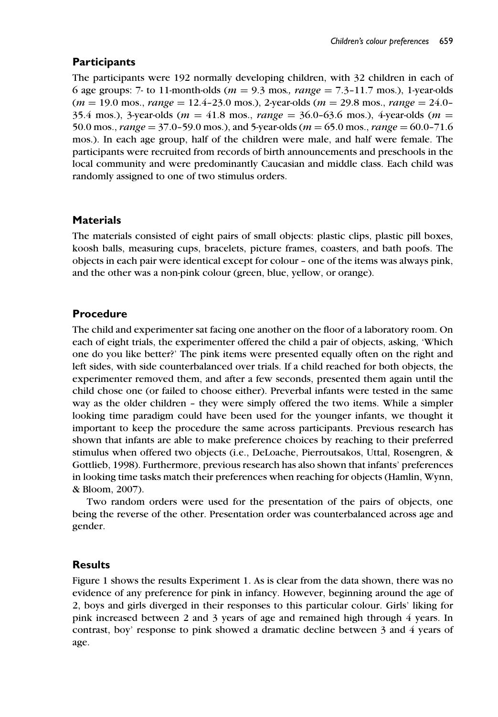## **Participants**

The participants were 192 normally developing children, with 32 children in each of 6 age groups: 7- to 11-month-olds (*m* = 9.3 mos*., range* = 7.3–11.7 mos.), 1-year-olds (*m* = 19.0 mos., *range* = 12.4–23.0 mos.), 2-year-olds (*m* = 29.8 mos., *range* = 24.0– 35.4 mos.), 3-year-olds (*m* = 41.8 mos., *range* = 36.0–63.6 mos.), 4-year-olds (*m* = 50.0 mos., *range* = 37.0–59.0 mos.), and 5-year-olds (*m* = 65.0 mos., *range* = 60.0–71.6 mos.). In each age group, half of the children were male, and half were female. The participants were recruited from records of birth announcements and preschools in the local community and were predominantly Caucasian and middle class. Each child was randomly assigned to one of two stimulus orders.

### **Materials**

The materials consisted of eight pairs of small objects: plastic clips, plastic pill boxes, koosh balls, measuring cups, bracelets, picture frames, coasters, and bath poofs. The objects in each pair were identical except for colour – one of the items was always pink, and the other was a non-pink colour (green, blue, yellow, or orange).

## **Procedure**

The child and experimenter sat facing one another on the floor of a laboratory room. On each of eight trials, the experimenter offered the child a pair of objects, asking, 'Which one do you like better?' The pink items were presented equally often on the right and left sides, with side counterbalanced over trials. If a child reached for both objects, the experimenter removed them, and after a few seconds, presented them again until the child chose one (or failed to choose either). Preverbal infants were tested in the same way as the older children – they were simply offered the two items. While a simpler looking time paradigm could have been used for the younger infants, we thought it important to keep the procedure the same across participants. Previous research has shown that infants are able to make preference choices by reaching to their preferred stimulus when offered two objects (i.e., DeLoache, Pierroutsakos, Uttal, Rosengren, & Gottlieb, 1998). Furthermore, previous research has also shown that infants' preferences in looking time tasks match their preferences when reaching for objects (Hamlin, Wynn, & Bloom, 2007).

Two random orders were used for the presentation of the pairs of objects, one being the reverse of the other. Presentation order was counterbalanced across age and gender.

## **Results**

Figure 1 shows the results Experiment 1. As is clear from the data shown, there was no evidence of any preference for pink in infancy. However, beginning around the age of 2, boys and girls diverged in their responses to this particular colour. Girls' liking for pink increased between 2 and 3 years of age and remained high through 4 years. In contrast, boy' response to pink showed a dramatic decline between 3 and 4 years of age.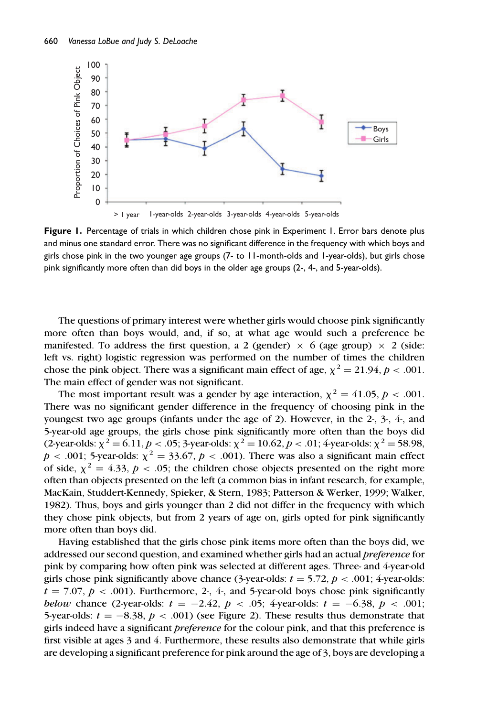

**Figure 1.** Percentage of trials in which children chose pink in Experiment 1. Error bars denote plus and minus one standard error. There was no significant difference in the frequency with which boys and girls chose pink in the two younger age groups (7- to 11-month-olds and 1-year-olds), but girls chose pink significantly more often than did boys in the older age groups (2-, 4-, and 5-year-olds).

The questions of primary interest were whether girls would choose pink significantly more often than boys would, and, if so, at what age would such a preference be manifested. To address the first question, a 2 (gender)  $\times$  6 (age group)  $\times$  2 (side: left vs. right) logistic regression was performed on the number of times the children chose the pink object. There was a significant main effect of age,  $\chi^2 = 21.94$ ,  $p < .001$ . The main effect of gender was not significant.

The most important result was a gender by age interaction,  $\chi^2 = 41.05$ ,  $p < .001$ . There was no significant gender difference in the frequency of choosing pink in the youngest two age groups (infants under the age of 2). However, in the 2-, 3-, 4-, and 5-year-old age groups, the girls chose pink significantly more often than the boys did  $(2\text{-year-olds: } \chi^2 = 6.11, p < .05; 3\text{-year-olds: } \chi^2 = 10.62, p < .01; 4\text{-year-olds: } \chi^2 = 58.98,$  $p < .001$ ; 5-year-olds:  $\chi^2 = 33.67$ ,  $p < .001$ ). There was also a significant main effect of side,  $\chi^2 = 4.33$ ,  $p < .05$ ; the children chose objects presented on the right more often than objects presented on the left (a common bias in infant research, for example, MacKain, Studdert-Kennedy, Spieker, & Stern, 1983; Patterson & Werker, 1999; Walker, 1982). Thus, boys and girls younger than 2 did not differ in the frequency with which they chose pink objects, but from 2 years of age on, girls opted for pink significantly more often than boys did.

Having established that the girls chose pink items more often than the boys did, we addressed our second question, and examined whether girls had an actual *preference* for pink by comparing how often pink was selected at different ages. Three- and 4-year-old girls chose pink significantly above chance (3-year-olds:  $t = 5.72$ ,  $p < .001$ ; 4-year-olds:  $t = 7.07$ ,  $p < .001$ ). Furthermore, 2-, 4-, and 5-year-old boys chose pink significantly *below* chance (2-year-olds:  $t = -2.42$ ,  $p < .05$ ; 4-year-olds:  $t = -6.38$ ,  $p < .001$ ; 5-year-olds:  $t = -8.38$ ,  $p < .001$ ) (see Figure 2). These results thus demonstrate that girls indeed have a significant *preference* for the colour pink, and that this preference is first visible at ages 3 and 4. Furthermore, these results also demonstrate that while girls are developing a significant preference for pink around the age of 3, boys are developing a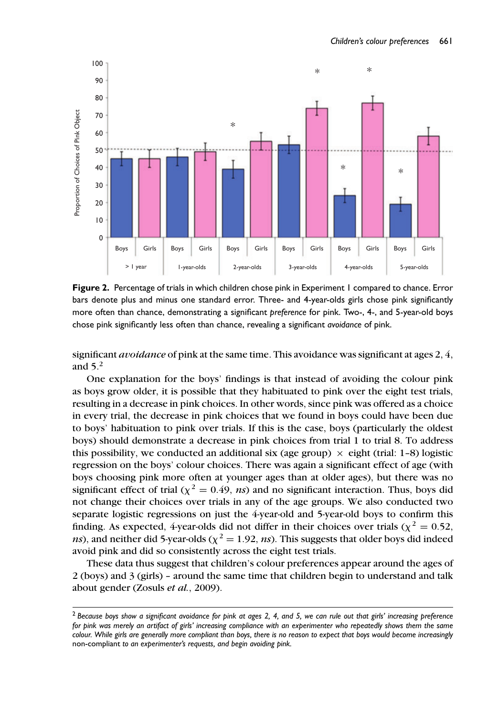

**Figure 2.** Percentage of trials in which children chose pink in Experiment 1 compared to chance. Error bars denote plus and minus one standard error. Three- and 4-year-olds girls chose pink significantly more often than chance, demonstrating a significant *preference* for pink. Two-, 4-, and 5-year-old boys chose pink significantly less often than chance, revealing a significant *avoidance* of pink.

significant *avoidance* of pink at the same time. This avoidance was significant at ages 2, 4, and  $5.<sup>2</sup>$ 

One explanation for the boys' findings is that instead of avoiding the colour pink as boys grow older, it is possible that they habituated to pink over the eight test trials, resulting in a decrease in pink choices. In other words, since pink was offered as a choice in every trial, the decrease in pink choices that we found in boys could have been due to boys' habituation to pink over trials. If this is the case, boys (particularly the oldest boys) should demonstrate a decrease in pink choices from trial 1 to trial 8. To address this possibility, we conducted an additional six (age group)  $\times$  eight (trial: 1–8) logistic regression on the boys' colour choices. There was again a significant effect of age (with boys choosing pink more often at younger ages than at older ages), but there was no significant effect of trial ( $\chi^2 = 0.49$ , *ns*) and no significant interaction. Thus, boys did not change their choices over trials in any of the age groups. We also conducted two separate logistic regressions on just the 4-year-old and 5-year-old boys to confirm this finding. As expected, 4-year-olds did not differ in their choices over trials ( $\chi^2 = 0.52$ , *ns*), and neither did 5-year-olds ( $\chi^2 = 1.92$ , *ns*). This suggests that older boys did indeed avoid pink and did so consistently across the eight test trials.

These data thus suggest that children's colour preferences appear around the ages of 2 (boys) and 3 (girls) – around the same time that children begin to understand and talk about gender (Zosuls *et al.*, 2009).

<sup>2</sup> *Because boys show a significant avoidance for pink at ages 2, 4, and 5, we can rule out that girls' increasing preference for pink was merely an artifact of girls' increasing compliance with an experimenter who repeatedly shows them the same colour. While girls are generally more compliant than boys, there is no reason to expect that boys would become increasingly* non-compliant *to an experimenter's requests, and begin avoiding pink.*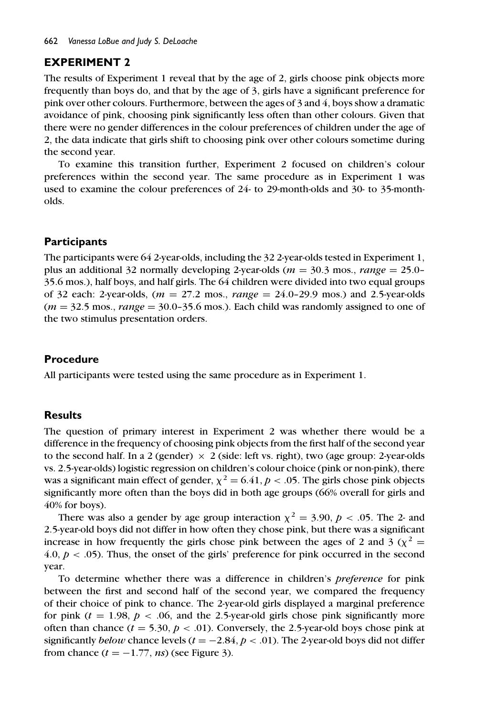### **EXPERIMENT 2**

The results of Experiment 1 reveal that by the age of 2, girls choose pink objects more frequently than boys do, and that by the age of 3, girls have a significant preference for pink over other colours. Furthermore, between the ages of 3 and 4, boys show a dramatic avoidance of pink, choosing pink significantly less often than other colours. Given that there were no gender differences in the colour preferences of children under the age of 2, the data indicate that girls shift to choosing pink over other colours sometime during the second year.

To examine this transition further, Experiment 2 focused on children's colour preferences within the second year. The same procedure as in Experiment 1 was used to examine the colour preferences of 24- to 29-month-olds and 30- to 35-montholds.

### **Participants**

The participants were 64 2-year-olds, including the 32 2-year-olds tested in Experiment 1, plus an additional 32 normally developing 2-year-olds (*m* = 30.3 mos., *range* = 25.0– 35.6 mos.), half boys, and half girls. The 64 children were divided into two equal groups of 32 each: 2-year-olds, (*m* = 27.2 mos., *range* = 24.0–29.9 mos.) and 2.5-year-olds  $(m = 32.5 \text{ mos.}, \text{range} = 30.0 - 35.6 \text{ mos.})$ . Each child was randomly assigned to one of the two stimulus presentation orders.

### **Procedure**

All participants were tested using the same procedure as in Experiment 1.

### **Results**

The question of primary interest in Experiment 2 was whether there would be a difference in the frequency of choosing pink objects from the first half of the second year to the second half. In a 2 (gender)  $\times$  2 (side: left vs. right), two (age group: 2-year-olds vs. 2.5-year-olds) logistic regression on children's colour choice (pink or non-pink), there was a significant main effect of gender,  $\chi^2 = 6.41, p < .05$ . The girls chose pink objects significantly more often than the boys did in both age groups (66% overall for girls and 40% for boys).

There was also a gender by age group interaction  $\chi^2 = 3.90, p < .05$ . The 2- and 2.5-year-old boys did not differ in how often they chose pink, but there was a significant increase in how frequently the girls chose pink between the ages of 2 and 3 ( $\chi^2$  =  $4.0, p < .05$ ). Thus, the onset of the girls' preference for pink occurred in the second year.

To determine whether there was a difference in children's *preference* for pink between the first and second half of the second year, we compared the frequency of their choice of pink to chance. The 2-year-old girls displayed a marginal preference for pink  $(t = 1.98, p < .06,$  and the 2.5-year-old girls chose pink significantly more often than chance  $(t = 5.30, p < .01)$ . Conversely, the 2.5-year-old boys chose pink at significantly *below* chance levels (*t* = −2.84, *p* < .01). The 2-year-old boys did not differ from chance  $(t = -1.77, ns)$  (see Figure 3).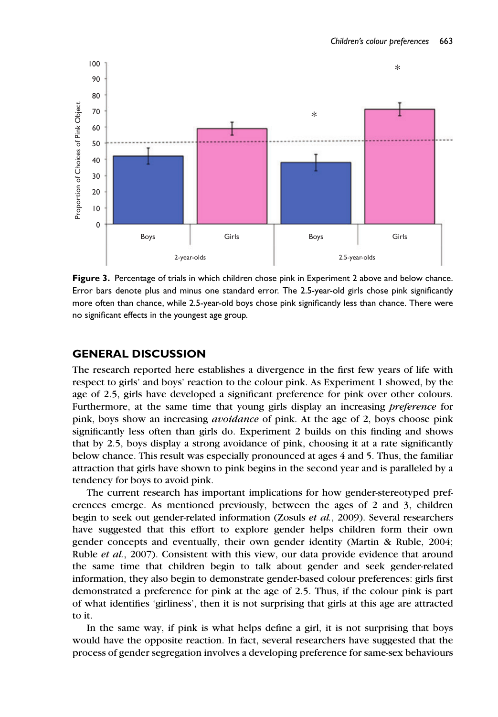

**Figure 3.** Percentage of trials in which children chose pink in Experiment 2 above and below chance. Error bars denote plus and minus one standard error. The 2.5-year-old girls chose pink significantly more often than chance, while 2.5-year-old boys chose pink significantly less than chance. There were no significant effects in the youngest age group.

#### **GENERAL DISCUSSION**

The research reported here establishes a divergence in the first few years of life with respect to girls' and boys' reaction to the colour pink. As Experiment 1 showed, by the age of 2.5, girls have developed a significant preference for pink over other colours. Furthermore, at the same time that young girls display an increasing *preference* for pink, boys show an increasing *avoidance* of pink. At the age of 2, boys choose pink significantly less often than girls do. Experiment 2 builds on this finding and shows that by 2.5, boys display a strong avoidance of pink, choosing it at a rate significantly below chance. This result was especially pronounced at ages 4 and 5. Thus, the familiar attraction that girls have shown to pink begins in the second year and is paralleled by a tendency for boys to avoid pink.

The current research has important implications for how gender-stereotyped preferences emerge. As mentioned previously, between the ages of 2 and 3, children begin to seek out gender-related information (Zosuls *et al.*, 2009). Several researchers have suggested that this effort to explore gender helps children form their own gender concepts and eventually, their own gender identity (Martin & Ruble, 2004; Ruble *et al.*, 2007). Consistent with this view, our data provide evidence that around the same time that children begin to talk about gender and seek gender-related information, they also begin to demonstrate gender-based colour preferences: girls first demonstrated a preference for pink at the age of 2.5. Thus, if the colour pink is part of what identifies 'girliness', then it is not surprising that girls at this age are attracted to it.

In the same way, if pink is what helps define a girl, it is not surprising that boys would have the opposite reaction. In fact, several researchers have suggested that the process of gender segregation involves a developing preference for same-sex behaviours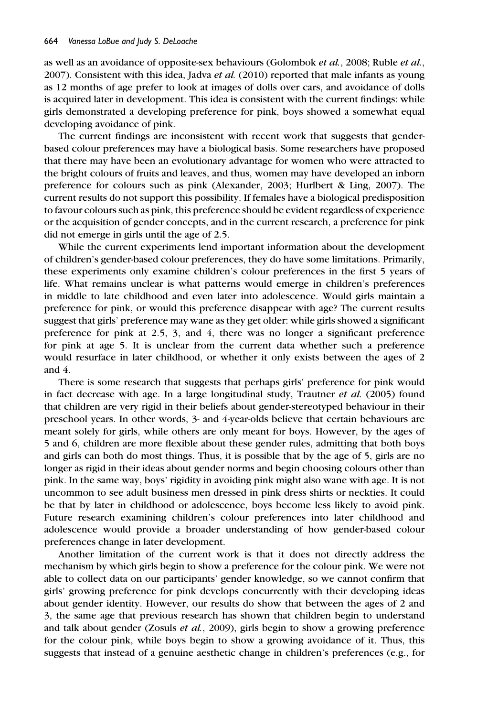as well as an avoidance of opposite-sex behaviours (Golombok *et al.*, 2008; Ruble *et al.*, 2007). Consistent with this idea, Jadva *et al.* (2010) reported that male infants as young as 12 months of age prefer to look at images of dolls over cars, and avoidance of dolls is acquired later in development. This idea is consistent with the current findings: while girls demonstrated a developing preference for pink, boys showed a somewhat equal developing avoidance of pink.

The current findings are inconsistent with recent work that suggests that genderbased colour preferences may have a biological basis. Some researchers have proposed that there may have been an evolutionary advantage for women who were attracted to the bright colours of fruits and leaves, and thus, women may have developed an inborn preference for colours such as pink (Alexander, 2003; Hurlbert & Ling, 2007). The current results do not support this possibility. If females have a biological predisposition to favour colours such as pink, this preference should be evident regardless of experience or the acquisition of gender concepts, and in the current research, a preference for pink did not emerge in girls until the age of 2.5.

While the current experiments lend important information about the development of children's gender-based colour preferences, they do have some limitations. Primarily, these experiments only examine children's colour preferences in the first 5 years of life. What remains unclear is what patterns would emerge in children's preferences in middle to late childhood and even later into adolescence. Would girls maintain a preference for pink, or would this preference disappear with age? The current results suggest that girls' preference may wane as they get older: while girls showed a significant preference for pink at 2.5, 3, and 4, there was no longer a significant preference for pink at age 5. It is unclear from the current data whether such a preference would resurface in later childhood, or whether it only exists between the ages of 2 and 4.

There is some research that suggests that perhaps girls' preference for pink would in fact decrease with age. In a large longitudinal study, Trautner *et al.* (2005) found that children are very rigid in their beliefs about gender-stereotyped behaviour in their preschool years. In other words, 3- and 4-year-olds believe that certain behaviours are meant solely for girls, while others are only meant for boys. However, by the ages of 5 and 6, children are more flexible about these gender rules, admitting that both boys and girls can both do most things. Thus, it is possible that by the age of 5, girls are no longer as rigid in their ideas about gender norms and begin choosing colours other than pink. In the same way, boys' rigidity in avoiding pink might also wane with age. It is not uncommon to see adult business men dressed in pink dress shirts or neckties. It could be that by later in childhood or adolescence, boys become less likely to avoid pink. Future research examining children's colour preferences into later childhood and adolescence would provide a broader understanding of how gender-based colour preferences change in later development.

Another limitation of the current work is that it does not directly address the mechanism by which girls begin to show a preference for the colour pink. We were not able to collect data on our participants' gender knowledge, so we cannot confirm that girls' growing preference for pink develops concurrently with their developing ideas about gender identity. However, our results do show that between the ages of 2 and 3, the same age that previous research has shown that children begin to understand and talk about gender (Zosuls *et al.*, 2009), girls begin to show a growing preference for the colour pink, while boys begin to show a growing avoidance of it. Thus, this suggests that instead of a genuine aesthetic change in children's preferences (e.g., for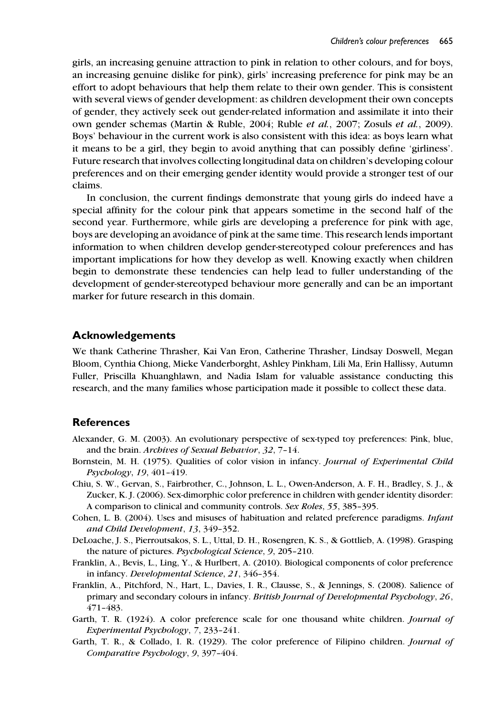girls, an increasing genuine attraction to pink in relation to other colours, and for boys, an increasing genuine dislike for pink), girls' increasing preference for pink may be an effort to adopt behaviours that help them relate to their own gender. This is consistent with several views of gender development: as children development their own concepts of gender, they actively seek out gender-related information and assimilate it into their own gender schemas (Martin & Ruble, 2004; Ruble *et al.*, 2007; Zosuls *et al.*, 2009). Boys' behaviour in the current work is also consistent with this idea: as boys learn what it means to be a girl, they begin to avoid anything that can possibly define 'girliness'. Future research that involves collecting longitudinal data on children's developing colour preferences and on their emerging gender identity would provide a stronger test of our claims.

In conclusion, the current findings demonstrate that young girls do indeed have a special affinity for the colour pink that appears sometime in the second half of the second year. Furthermore, while girls are developing a preference for pink with age, boys are developing an avoidance of pink at the same time. This research lends important information to when children develop gender-stereotyped colour preferences and has important implications for how they develop as well. Knowing exactly when children begin to demonstrate these tendencies can help lead to fuller understanding of the development of gender-stereotyped behaviour more generally and can be an important marker for future research in this domain.

### **Acknowledgements**

We thank Catherine Thrasher, Kai Van Eron, Catherine Thrasher, Lindsay Doswell, Megan Bloom, Cynthia Chiong, Mieke Vanderborght, Ashley Pinkham, Lili Ma, Erin Hallissy, Autumn Fuller, Priscilla Khuanghlawn, and Nadia Islam for valuable assistance conducting this research, and the many families whose participation made it possible to collect these data.

### **References**

- Alexander, G. M. (2003). An evolutionary perspective of sex-typed toy preferences: Pink, blue, and the brain. *Archives of Sexual Behavior*, *32*, 7–14.
- Bornstein, M. H. (1975). Qualities of color vision in infancy. *Journal of Experimental Child Psychology*, *19*, 401–419.
- Chiu, S. W., Gervan, S., Fairbrother, C., Johnson, L. L., Owen-Anderson, A. F. H., Bradley, S. J., & Zucker, K. J. (2006). Sex-dimorphic color preference in children with gender identity disorder: A comparison to clinical and community controls. *Sex Roles*, *55*, 385–395.
- Cohen, L. B. (2004). Uses and misuses of habituation and related preference paradigms. *Infant and Child Development*, *13*, 349–352.
- DeLoache, J. S., Pierroutsakos, S. L., Uttal, D. H., Rosengren, K. S., & Gottlieb, A. (1998). Grasping the nature of pictures. *Psychological Science*, *9*, 205–210.
- Franklin, A., Bevis, L., Ling, Y., & Hurlbert, A. (2010). Biological components of color preference in infancy. *Developmental Science*, *21*, 346–354.
- Franklin, A., Pitchford, N., Hart, L., Davies, I. R., Clausse, S., & Jennings, S. (2008). Salience of primary and secondary colours in infancy. *British Journal of Developmental Psychology*, *26*, 471–483.
- Garth, T. R. (1924). A color preference scale for one thousand white children. *Journal of Experimental Psychology*, *7*, 233–241.
- Garth, T. R., & Collado, I. R. (1929). The color preference of Filipino children. *Journal of Comparative Psychology*, *9*, 397–404.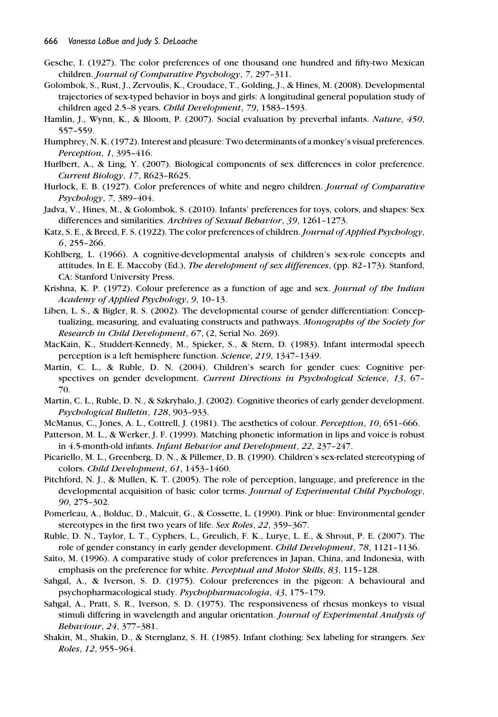- Gesche, I. (1927). The color preferences of one thousand one hundred and fifty-two Mexican children. *Journal of Comparative Psychology*, *7*, 297–311.
- Golombok, S., Rust, J., Zervoulis, K., Croudace, T., Golding, J., & Hines, M. (2008). Developmental trajectories of sex-typed behavior in boys and girls: A longitudinal general population study of children aged 2.5–8 years. *Child Development*, *79*, 1583–1593.
- Hamlin, J., Wynn, K., & Bloom, P. (2007). Social evaluation by preverbal infants. *Nature*, *450*, 557–559.
- Humphrey, N. K. (1972). Interest and pleasure: Two determinants of a monkey's visual preferences. *Perception*, *1*, 395–416.
- Hurlbert, A., & Ling, Y. (2007). Biological components of sex differences in color preference. *Current Biology*, *17*, R623–R625.
- Hurlock, E. B. (1927). Color preferences of white and negro children. *Journal of Comparative Psychology*, *7*, 389–404.
- Jadva, V., Hines, M., & Golombok, S. (2010). Infants' preferences for toys, colors, and shapes: Sex differences and similarities. *Archives of Sexual Behavior*, *39*, 1261–1273.
- Katz, S. E., & Breed, F. S. (1922). The color preferences of children. *Journal of Applied Psychology*, *6*, 255–266.
- Kohlberg, L. (1966). A cognitive-developmental analysis of children's sex-role concepts and attitudes. In E. E. Maccoby (Ed.), *The development of sex differences*, (pp. 82–173). Stanford, CA: Stanford University Press.
- Krishna, K. P. (1972). Colour preference as a function of age and sex. *Journal of the Indian Academy of Applied Psychology*, *9*, 10–13.
- Liben, L. S., & Bigler, R. S. (2002). The developmental course of gender differentiation: Conceptualizing, measuring, and evaluating constructs and pathways. *Monographs of the Society for Research in Child Development*, *67*, (2, Serial No. 269).
- MacKain, K., Studdert-Kennedy, M., Spieker, S., & Stern, D. (1983). Infant intermodal speech perception is a left hemisphere function. *Science*, *219*, 1347–1349.
- Martin, C. L., & Ruble, D. N. (2004). Children's search for gender cues: Cognitive perspectives on gender development. *Current Directions in Psychological Science*, *13*, 67– 70.
- Martin, C. L., Ruble, D. N., & Szkrybalo, J. (2002). Cognitive theories of early gender development. *Psychological Bulletin*, *128*, 903–933.
- McManus, C., Jones, A. L., Cottrell, J. (1981). The aesthetics of colour. *Perception*, *10*, 651–666.
- Patterson, M. L., & Werker, J. F. (1999). Matching phonetic information in lips and voice is robust in 4.5-month-old infants. *Infant Behavior and Development*, *22*, 237–247.
- Picariello, M. L., Greenberg, D. N., & Pillemer, D. B. (1990). Children's sex-related stereotyping of colors. *Child Development*, *61*, 1453–1460.
- Pitchford, N. J., & Mullen, K. T. (2005). The role of perception, language, and preference in the developmental acquisition of basic color terms. *Journal of Experimental Child Psychology*, *90*, 275–302.
- Pomerleau, A., Bolduc, D., Malcuit, G., & Cossette, L. (1990). Pink or blue: Environmental gender stereotypes in the first two years of life. *Sex Roles*, *22*, 359–367.
- Ruble, D. N., Taylor, L. T., Cyphers, L., Greulich, F. K., Lurye, L. E., & Shrout, P. E. (2007). The role of gender constancy in early gender development. *Child Development*, *78*, 1121–1136.
- Saito, M. (1996). A comparative study of color preferences in Japan, China, and Indonesia, with emphasis on the preference for white. *Perceptual and Motor Skills*, *83*, 115–128.
- Sahgal, A., & Iverson, S. D. (1975). Colour preferences in the pigeon: A behavioural and psychopharmacological study. *Psychopharmacologia*, *43*, 175–179.
- Sahgal, A., Pratt, S. R., Iverson, S. D. (1975). The responsiveness of rhesus monkeys to visual stimuli differing in wavelength and angular orientation. *Journal of Experimental Analysis of Behaviour*, *24*, 377–381.
- Shakin, M., Shakin, D., & Sternglanz, S. H. (1985). Infant clothing: Sex labeling for strangers. *Sex Roles*, *12*, 955–964.